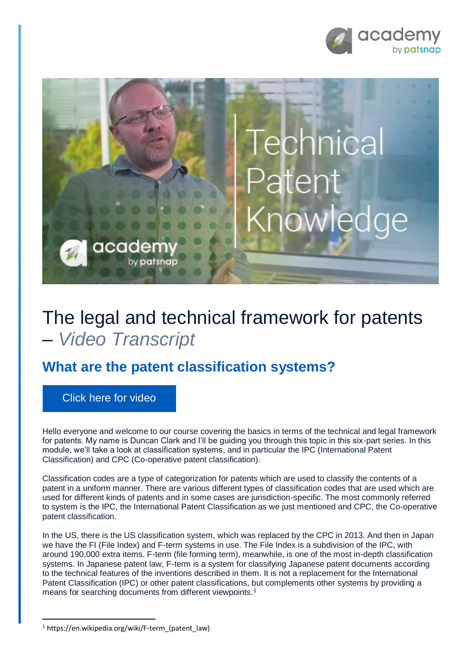



# The legal and technical framework for patents – *Video Transcript*

## **What are the patent classification systems?**

[Click here for video](https://academy.patsnap.com/courses/59bf8b7b7066d400129756ce/units/5a462af502989b0014b3d1a8#module-4)

Hello everyone and welcome to our course covering the basics in terms of the technical and legal framework for patents. My name is Duncan Clark and I'll be guiding you through this topic in this six-part series. In this module, we'll take a look at classification systems, and in particular the IPC (International Patent Classification) and CPC (Co-operative patent classification).

Classification codes are a type of categorization for patents which are used to classify the contents of a patent in a uniform manner. There are various different types of classification codes that are used which are used for different kinds of patents and in some cases are jurisdiction-specific. The most commonly referred to system is the IPC, the International Patent Classification as we just mentioned and CPC, the Co-operative patent classification.

In the US, there is the US classification system, which was replaced by the CPC in 2013. And then in Japan we have the FI (File Index) and F-term systems in use. The File Index is a subdivision of the IPC, with around 190,000 extra items. F-term (file forming term), meanwhile, is one of the most in-depth classification systems. In Japanese patent law, F-term is a system for classifying Japanese patent documents according to the technical features of the inventions described in them. It is not a replacement for the International Patent Classification (IPC) or other patent classifications, but complements other systems by providing a means for searching documents from different viewpoints.<sup>1</sup>

**.** 

<sup>1</sup> https://en.wikipedia.org/wiki/F-term\_(patent\_law)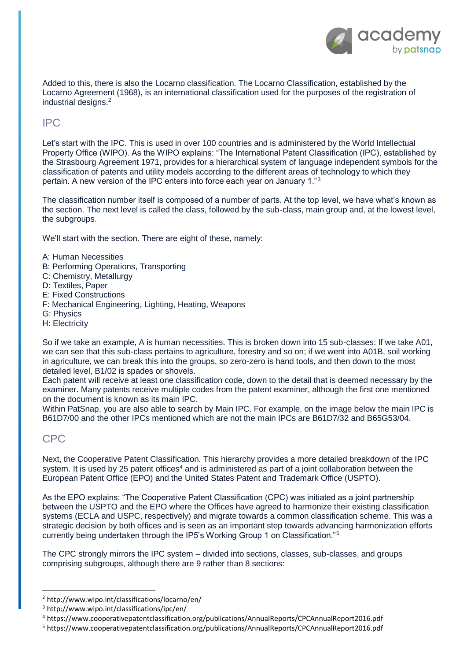

Added to this, there is also the Locarno classification. The Locarno Classification, established by the Locarno Agreement (1968), is an international classification used for the purposes of the registration of industrial designs.<sup>2</sup>

IPC

Let's start with the IPC. This is used in over 100 countries and is administered by the World Intellectual Property Office (WIPO). As the WIPO explains: "The International Patent Classification (IPC), established by the Strasbourg Agreement 1971, provides for a hierarchical system of language independent symbols for the classification of patents and utility models according to the different areas of technology to which they pertain. A new version of the IPC enters into force each year on January 1."<sup>3</sup>

The classification number itself is composed of a number of parts. At the top level, we have what's known as the section. The next level is called the class, followed by the sub-class, main group and, at the lowest level, the subgroups.

We'll start with the section. There are eight of these, namely:

- A: Human Necessities
- B: Performing Operations, Transporting
- C: Chemistry, Metallurgy
- D: Textiles, Paper
- E: Fixed Constructions
- F: Mechanical Engineering, Lighting, Heating, Weapons
- G: Physics
- H: Electricity

So if we take an example, A is human necessities. This is broken down into 15 sub-classes: If we take A01, we can see that this sub-class pertains to agriculture, forestry and so on; if we went into A01B, soil working in agriculture, we can break this into the groups, so zero-zero is hand tools, and then down to the most detailed level, B1/02 is spades or shovels.

Each patent will receive at least one classification code, down to the detail that is deemed necessary by the examiner. Many patents receive multiple codes from the patent examiner, although the first one mentioned on the document is known as its main IPC.

Within PatSnap, you are also able to search by Main IPC. For example, on the image below the main IPC is B61D7/00 and the other IPCs mentioned which are not the main IPCs are B61D7/32 and B65G53/04.

### CPC

**.** 

Next, the Cooperative Patent Classification. This hierarchy provides a more detailed breakdown of the IPC system. It is used by 25 patent offices<sup>4</sup> and is administered as part of a joint collaboration between the European Patent Office (EPO) and the United States Patent and Trademark Office (USPTO).

As the EPO explains: "The Cooperative Patent Classification (CPC) was initiated as a joint partnership between the USPTO and the EPO where the Offices have agreed to harmonize their existing classification systems (ECLA and USPC, respectively) and migrate towards a common classification scheme. This was a strategic decision by both offices and is seen as an important step towards advancing harmonization efforts currently being undertaken through the IP5's Working Group 1 on Classification."<sup>5</sup>

The CPC strongly mirrors the IPC system – divided into sections, classes, sub-classes, and groups comprising subgroups, although there are 9 rather than 8 sections:

<sup>2</sup> http://www.wipo.int/classifications/locarno/en/

<sup>3</sup> http://www.wipo.int/classifications/ipc/en/

<sup>4</sup> https://www.cooperativepatentclassification.org/publications/AnnualReports/CPCAnnualReport2016.pdf

<sup>5</sup> https://www.cooperativepatentclassification.org/publications/AnnualReports/CPCAnnualReport2016.pdf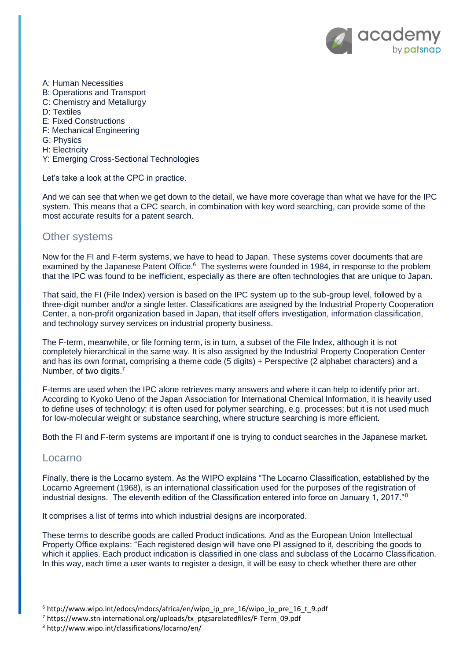

- A: Human Necessities
- B: Operations and Transport
- C: Chemistry and Metallurgy
- D: Textiles
- E: Fixed Constructions
- F: Mechanical Engineering
- G: Physics
- H: Electricity
- Y: Emerging Cross-Sectional Technologies

Let's take a look at the CPC in practice.

And we can see that when we get down to the detail, we have more coverage than what we have for the IPC system. This means that a CPC search, in combination with key word searching, can provide some of the most accurate results for a patent search.

### Other systems

Now for the FI and F-term systems, we have to head to Japan. These systems cover documents that are examined by the Japanese Patent Office.<sup>6</sup> The systems were founded in 1984, in response to the problem that the IPC was found to be inefficient, especially as there are often technologies that are unique to Japan.

That said, the FI (File Index) version is based on the IPC system up to the sub-group level, followed by a three-digit number and/or a single letter. Classifications are assigned by the Industrial Property Cooperation Center, a non-profit organization based in Japan, that itself offers investigation, information classification, and technology survey services on industrial property business.

The F-term, meanwhile, or file forming term, is in turn, a subset of the File Index, although it is not completely hierarchical in the same way. It is also assigned by the Industrial Property Cooperation Center and has its own format, comprising a theme code (5 digits) + Perspective (2 alphabet characters) and a Number, of two digits.<sup>7</sup>

F-terms are used when the IPC alone retrieves many answers and where it can help to identify prior art. According to Kyoko Ueno of the Japan Association for International Chemical Information, it is heavily used to define uses of technology; it is often used for polymer searching, e.g. processes; but it is not used much for low-molecular weight or substance searching, where structure searching is more efficient.

Both the FI and F-term systems are important if one is trying to conduct searches in the Japanese market.

#### Locarno

1

Finally, there is the Locarno system. As the WIPO explains "The Locarno Classification, established by the Locarno Agreement (1968), is an international classification used for the purposes of the registration of industrial designs. The eleventh edition of the Classification entered into force on January 1, 2017." <sup>8</sup>

It comprises a list of terms into which industrial designs are incorporated.

These terms to describe goods are called Product indications. And as the European Union Intellectual Property Office explains: "Each registered design will have one PI assigned to it, describing the goods to which it applies. Each product indication is classified in one class and subclass of the Locarno Classification. In this way, each time a user wants to register a design, it will be easy to check whether there are other

<sup>6</sup> http://www.wipo.int/edocs/mdocs/africa/en/wipo\_ip\_pre\_16/wipo\_ip\_pre\_16\_t\_9.pdf

<sup>7</sup> https://www.stn-international.org/uploads/tx\_ptgsarelatedfiles/F-Term\_09.pdf

<sup>8</sup> http://www.wipo.int/classifications/locarno/en/